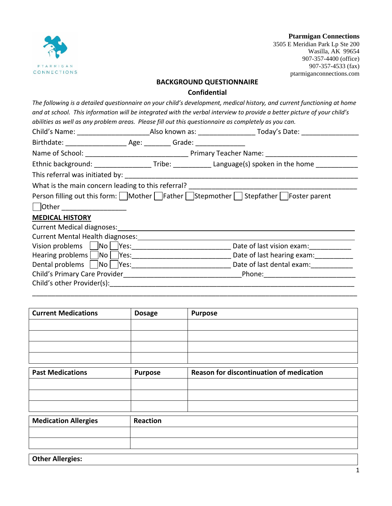

**Ptarmigan Connections** 3505 E Meridian Park Lp Ste 200

Wasilla, AK 99654 907-357-4400 (office) 907-357-4533 (fax) ptarmiganconnections.com

### **BACKGROUND QUESTIONNAIRE**

#### **Confidential**

*The following is a detailed questionnaire on your child's development, medical history, and current functioning at home and at school. This information will be integrated with the verbal interview to provide a better picture of your child's abilities as well as any problem areas. Please fill out this questionnaire as completely as you can.*

|                                                     | Ethnic background: ____________________Tribe: _______________Language(s) spoken in the home ______________ |
|-----------------------------------------------------|------------------------------------------------------------------------------------------------------------|
|                                                     |                                                                                                            |
|                                                     |                                                                                                            |
|                                                     | Person filling out this form: Mother Father Stepmother Stepfather Foster parent                            |
| Other ____________________                          |                                                                                                            |
| <b>MEDICAL HISTORY</b>                              |                                                                                                            |
| Current Medical diagnoses: North Medical diagnoses: |                                                                                                            |
|                                                     |                                                                                                            |
|                                                     | Date of last vision exam: __________                                                                       |
|                                                     | Date of last hearing exam:                                                                                 |
|                                                     | Dental problems   No   Yes: Yes: No   Yes: No   Yes: No   Date of last dental exam:                        |
|                                                     |                                                                                                            |
| Child's other Provider(s):                          |                                                                                                            |

\_\_\_\_\_\_\_\_\_\_\_\_\_\_\_\_\_\_\_\_\_\_\_\_\_\_\_\_\_\_\_\_\_\_\_\_\_\_\_\_\_\_\_\_\_\_\_\_\_\_\_\_\_\_\_\_\_\_\_\_\_\_\_\_\_\_\_\_\_\_\_\_\_\_\_\_\_\_\_\_\_\_\_\_\_

| <b>Current Medications</b>  | <b>Dosage</b>  | <b>Purpose</b>                           |
|-----------------------------|----------------|------------------------------------------|
|                             |                |                                          |
|                             |                |                                          |
|                             |                |                                          |
|                             |                |                                          |
| <b>Past Medications</b>     | <b>Purpose</b> | Reason for discontinuation of medication |
|                             |                |                                          |
|                             |                |                                          |
|                             |                |                                          |
| <b>Medication Allergies</b> | Reaction       |                                          |
|                             |                |                                          |
|                             |                |                                          |
| <b>Other Allergies:</b>     |                |                                          |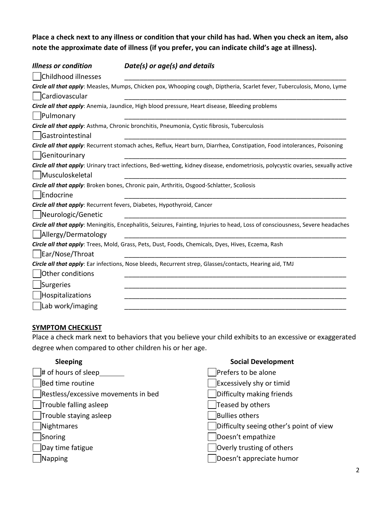**Place a check next to any illness or condition that your child has had. When you check an item, also note the approximate date of illness (if you prefer, you can indicate child's age at illness).**

| Illness or condition | Date(s) or age(s) and details                                                                                                    |
|----------------------|----------------------------------------------------------------------------------------------------------------------------------|
| Childhood illnesses  |                                                                                                                                  |
|                      | Circle all that apply: Measles, Mumps, Chicken pox, Whooping cough, Diptheria, Scarlet fever, Tuberculosis, Mono, Lyme           |
| Cardiovascular       |                                                                                                                                  |
|                      | Circle all that apply: Anemia, Jaundice, High blood pressure, Heart disease, Bleeding problems                                   |
| Pulmonary            |                                                                                                                                  |
|                      | Circle all that apply: Asthma, Chronic bronchitis, Pneumonia, Cystic fibrosis, Tuberculosis                                      |
| Gastrointestinal     |                                                                                                                                  |
| Genitourinary        | Circle all that apply: Recurrent stomach aches, Reflux, Heart burn, Diarrhea, Constipation, Food intolerances, Poisoning         |
|                      | Circle all that apply: Urinary tract infections, Bed-wetting, kidney disease, endometriosis, polycystic ovaries, sexually active |
| Musculoskeletal      |                                                                                                                                  |
|                      | Circle all that apply: Broken bones, Chronic pain, Arthritis, Osgood-Schlatter, Scoliosis                                        |
| Endocrine            |                                                                                                                                  |
|                      | Circle all that apply: Recurrent fevers, Diabetes, Hypothyroid, Cancer                                                           |
| Neurologic/Genetic   |                                                                                                                                  |
|                      | Circle all that apply: Meningitis, Encephalitis, Seizures, Fainting, Injuries to head, Loss of consciousness, Severe headaches   |
| Allergy/Dermatology  |                                                                                                                                  |
|                      | Circle all that apply: Trees, Mold, Grass, Pets, Dust, Foods, Chemicals, Dyes, Hives, Eczema, Rash                               |
| Ear/Nose/Throat      |                                                                                                                                  |
|                      | Circle all that apply: Ear infections, Nose bleeds, Recurrent strep, Glasses/contacts, Hearing aid, TMJ                          |
| Other conditions     |                                                                                                                                  |
| Surgeries            |                                                                                                                                  |
| Hospitalizations     |                                                                                                                                  |
| Lab work/imaging     |                                                                                                                                  |

#### **SYMPTOM CHECKLIST**

Place a check mark next to behaviors that you believe your child exhibits to an excessive or exaggerated degree when compared to other children his or her age.

| <b>Sleeping</b>                     | <b>Social Development</b>               |
|-------------------------------------|-----------------------------------------|
| $\vert \ \vert$ # of hours of sleep | Prefers to be alone                     |
| Bed time routine                    | <b>Excessively shy or timid</b>         |
| Restless/excessive movements in bed | Difficulty making friends               |
| Trouble falling asleep              | Teased by others                        |
| Trouble staying asleep              | <b>Bullies others</b>                   |
| Nightmares                          | Difficulty seeing other's point of view |
| Snoring                             | Doesn't empathize                       |
| Day time fatigue                    | Overly trusting of others               |
| Napping                             | Doesn't appreciate humor                |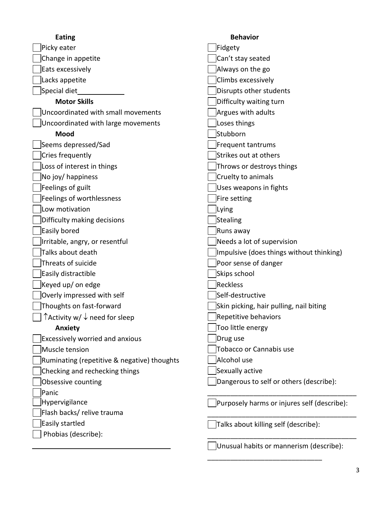| <b>Eating</b>                                             | <b>Behavior</b>                             |
|-----------------------------------------------------------|---------------------------------------------|
| Picky eater                                               | Fidgety                                     |
| Change in appetite                                        | Can't stay seated                           |
| Eats excessively                                          | Always on the go                            |
| Lacks appetite                                            | Climbs excessively                          |
| Special diet                                              | Disrupts other students                     |
| <b>Motor Skills</b>                                       | Difficulty waiting turn                     |
| Uncoordinated with small movements                        | Argues with adults                          |
| Uncoordinated with large movements                        | Loses things                                |
| Mood                                                      | Stubborn                                    |
| Seems depressed/Sad                                       | Frequent tantrums                           |
| Cries frequently                                          | Strikes out at others                       |
| Loss of interest in things                                | Throws or destroys things                   |
| No joy/ happiness                                         | Cruelty to animals                          |
| Feelings of guilt                                         | Uses weapons in fights                      |
| Feelings of worthlessness                                 | Fire setting                                |
| Low motivation                                            | Lying                                       |
| Difficulty making decisions                               | <b>Stealing</b>                             |
| Easily bored                                              | Runs away                                   |
| Irritable, angry, or resentful                            | Needs a lot of supervision                  |
| Talks about death                                         | Impulsive (does things without thinking)    |
| Threats of suicide                                        | Poor sense of danger                        |
| Easily distractible                                       | Skips school                                |
| Keyed up/ on edge                                         | Reckless                                    |
| Overly impressed with self                                | Self-destructive                            |
| Thoughts on fast-forward                                  | Skin picking, hair pulling, nail biting     |
| $\Box$ $\uparrow$ Activity w/ $\downarrow$ need for sleep | Repetitive behaviors                        |
| <b>Anxiety</b>                                            | Too little energy                           |
| <b>Excessively worried and anxious</b>                    | Drug use                                    |
| Muscle tension                                            | Tobacco or Cannabis use                     |
| Ruminating (repetitive & negative) thoughts               | Alcohol use                                 |
| Checking and rechecking things                            | Sexually active                             |
| Obsessive counting                                        | Dangerous to self or others (describe):     |
| Panic                                                     |                                             |
| Hypervigilance                                            | Purposely harms or injures self (describe): |
| Flash backs/ relive trauma                                |                                             |
| Easily startled                                           | Talks about killing self (describe):        |
| Phobias (describe):                                       |                                             |
|                                                           | Unusual habits or mannerism (describe):     |

\_\_\_\_\_\_\_\_\_\_\_\_\_\_\_\_\_\_\_\_\_\_\_\_\_\_\_\_\_\_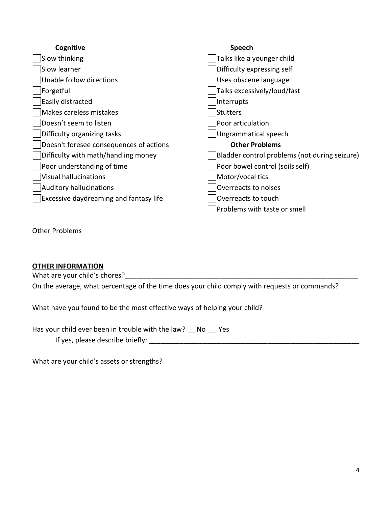| Cognitive                                     | Speech                                        |
|-----------------------------------------------|-----------------------------------------------|
| Slow thinking                                 | Talks like a younger child                    |
| Slow learner                                  | Difficulty expressing self                    |
| Unable follow directions                      | Uses obscene language                         |
| Forgetful                                     | Talks excessively/loud/fast                   |
| Easily distracted                             | Interrupts                                    |
| Makes careless mistakes                       | Stutters                                      |
| Doesn't seem to listen                        | Poor articulation                             |
| Difficulty organizing tasks                   | Ungrammatical speech                          |
| Doesn't foresee consequences of actions       | <b>Other Problems</b>                         |
| Difficulty with math/handling money           | Bladder control problems (not during seizure) |
| Poor understanding of time                    | Poor bowel control (soils self)               |
| Visual hallucinations                         | Motor/vocal tics                              |
| Auditory hallucinations                       | Overreacts to noises                          |
| <b>Excessive daydreaming and fantasy life</b> | Overreacts to touch                           |
|                                               | Problems with taste or smell                  |

Other Problems

## **OTHER INFORMATION**

What are your child's chores?\_\_\_\_\_\_\_\_\_\_\_\_\_\_\_\_\_\_\_\_\_\_\_\_\_\_\_\_\_\_\_\_\_\_\_\_\_\_\_\_\_\_\_\_\_\_\_\_\_\_\_\_\_\_\_\_\_\_\_\_\_

On the average, what percentage of the time does your child comply with requests or commands?

What have you found to be the most effective ways of helping your child?

| Has your child ever been in trouble with the law? $\Box$ No $\Box$ Yes |  |  |
|------------------------------------------------------------------------|--|--|
|------------------------------------------------------------------------|--|--|

If yes, please describe briefly: \_\_\_\_\_\_\_\_\_\_\_\_\_\_\_\_\_\_\_\_\_\_\_\_\_\_\_\_\_\_\_\_\_\_\_\_\_\_\_\_\_\_\_\_\_\_\_\_\_\_\_\_\_\_\_

What are your child's assets or strengths?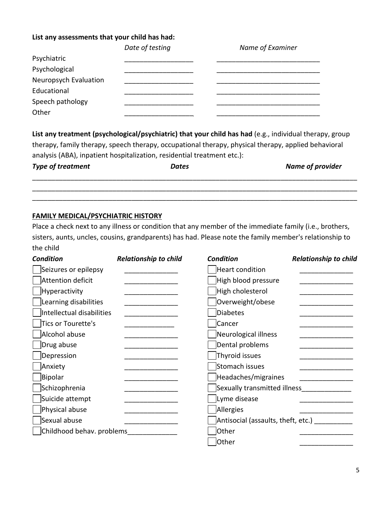## **List any assessments that your child has had:**

|                       | Date of testing | Name of Examiner |
|-----------------------|-----------------|------------------|
| Psychiatric           |                 |                  |
| Psychological         |                 |                  |
| Neuropsych Evaluation |                 |                  |
| Educational           |                 |                  |
| Speech pathology      |                 |                  |
| Other                 |                 |                  |

**List any treatment (psychological/psychiatric) that your child has had** (e.g., individual therapy, group therapy, family therapy, speech therapy, occupational therapy, physical therapy, applied behavioral analysis (ABA), inpatient hospitalization, residential treatment etc.):

| Type of treatment | <b>Dates</b> | <b>Name of provider</b> |
|-------------------|--------------|-------------------------|
|                   |              |                         |

\_\_\_\_\_\_\_\_\_\_\_\_\_\_\_\_\_\_\_\_\_\_\_\_\_\_\_\_\_\_\_\_\_\_\_\_\_\_\_\_\_\_\_\_\_\_\_\_\_\_\_\_\_\_\_\_\_\_\_\_\_\_\_\_\_\_\_\_\_\_\_\_\_\_\_\_\_\_\_\_\_\_\_\_\_

## **FAMILY MEDICAL/PSYCHIATRIC HISTORY**

Place a check next to any illness or condition that any member of the immediate family (i.e., brothers, sisters, aunts, uncles, cousins, grandparents) has had. Please note the family member's relationship to the child

| <b>Condition</b>          | <b>Relationship to child</b> | <b>Condition</b>                   | <b>Relationship to child</b> |
|---------------------------|------------------------------|------------------------------------|------------------------------|
| Seizures or epilepsy      |                              | <b>Heart condition</b>             |                              |
| Attention deficit         |                              | High blood pressure                |                              |
| Hyperactivity             |                              | High cholesterol                   |                              |
| Learning disabilities     |                              | Overweight/obese                   |                              |
| Intellectual disabilities |                              | <b>Diabetes</b>                    |                              |
| Tics or Tourette's        |                              | Cancer                             |                              |
| Alcohol abuse             |                              | Neurological illness               |                              |
| Drug abuse                |                              | Dental problems                    |                              |
| Depression                |                              | Thyroid issues                     |                              |
| Anxiety                   |                              | Stomach issues                     |                              |
| Bipolar                   |                              | Headaches/migraines                |                              |
| Schizophrenia             |                              | Sexually transmitted illness       |                              |
| Suicide attempt           |                              | Lyme disease                       |                              |
| Physical abuse            |                              | Allergies                          |                              |
| Sexual abuse              |                              | Antisocial (assaults, theft, etc.) |                              |
| Childhood behav. problems |                              | Other                              |                              |
|                           |                              | Other                              |                              |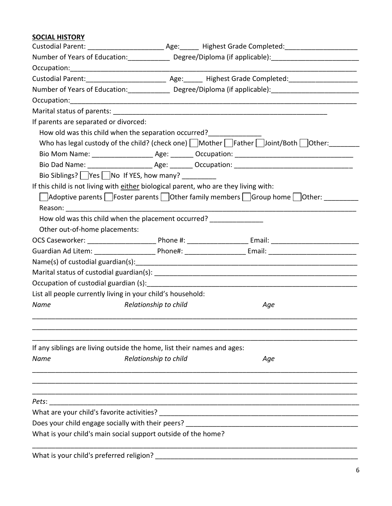# **SOCIAL HISTORY**

|                                                                                      |                       | Number of Years of Education:_________________ Degree/Diploma (if applicable):_______________________________ |
|--------------------------------------------------------------------------------------|-----------------------|---------------------------------------------------------------------------------------------------------------|
|                                                                                      |                       |                                                                                                               |
|                                                                                      |                       |                                                                                                               |
|                                                                                      |                       | Number of Years of Education:_________________ Degree/Diploma (if applicable):_______________________________ |
|                                                                                      |                       |                                                                                                               |
|                                                                                      |                       |                                                                                                               |
| If parents are separated or divorced:                                                |                       |                                                                                                               |
| How old was this child when the separation occurred?<br>________________             |                       |                                                                                                               |
|                                                                                      |                       | Who has legal custody of the child? (check one) $\Box$ Mother $\Box$ Father $\Box$ Joint/Both $\Box$ Other:   |
|                                                                                      |                       |                                                                                                               |
|                                                                                      |                       |                                                                                                               |
| Bio Siblings?    Yes    No If YES, how many?                                         |                       |                                                                                                               |
| If this child is not living with either biological parent, who are they living with: |                       |                                                                                                               |
|                                                                                      |                       | Adoptive parents   Foster parents   Other family members   Group home   Other:                                |
|                                                                                      |                       |                                                                                                               |
| How old was this child when the placement occurred?                                  |                       |                                                                                                               |
| Other out-of-home placements:                                                        |                       |                                                                                                               |
|                                                                                      |                       |                                                                                                               |
|                                                                                      |                       |                                                                                                               |
|                                                                                      |                       |                                                                                                               |
|                                                                                      |                       |                                                                                                               |
|                                                                                      |                       |                                                                                                               |
| List all people currently living in your child's household:                          |                       |                                                                                                               |
| Name                                                                                 | Relationship to child | Age                                                                                                           |
|                                                                                      |                       |                                                                                                               |
| If any siblings are living outside the home, list their names and ages:              |                       |                                                                                                               |
| Name                                                                                 | Relationship to child | Age                                                                                                           |
|                                                                                      |                       |                                                                                                               |
| Pets:                                                                                |                       |                                                                                                               |
| What are your child's favorite activities?                                           |                       |                                                                                                               |
| Does your child engage socially with their peers?                                    |                       |                                                                                                               |
| What is your child's main social support outside of the home?                        |                       |                                                                                                               |
| What is your child's preferred religion?                                             |                       |                                                                                                               |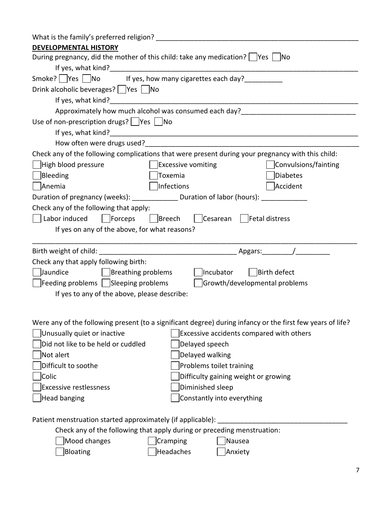| What is the family's preferred religion?                                                                   |                                          |
|------------------------------------------------------------------------------------------------------------|------------------------------------------|
| <b>DEVELOPMENTAL HISTORY</b>                                                                               |                                          |
| During pregnancy, did the mother of this child: take any medication?   Yes   No                            |                                          |
|                                                                                                            |                                          |
| Smoke? Yes No If yes, how many cigarettes each day?                                                        |                                          |
| Drink alcoholic beverages?         Yes         No                                                          |                                          |
|                                                                                                            |                                          |
| Approximately how much alcohol was consumed each day?                                                      |                                          |
| Use of non-prescription drugs? $ $  Yes    No                                                              |                                          |
|                                                                                                            |                                          |
|                                                                                                            |                                          |
| Check any of the following complications that were present during your pregnancy with this child:          |                                          |
| <b>Excessive vomiting</b><br>High blood pressure                                                           | Convulsions/fainting                     |
| Bleeding<br>Toxemia                                                                                        | Diabetes                                 |
| Infections<br> Anemia                                                                                      | Accident                                 |
| Duration of pregnancy (weeks): _______________ Duration of labor (hours): _____________                    |                                          |
| Check any of the following that apply:                                                                     |                                          |
| Labor induced Forceps Breech Cesarean Fetal distress                                                       |                                          |
| If yes on any of the above, for what reasons?                                                              |                                          |
|                                                                                                            |                                          |
|                                                                                                            |                                          |
|                                                                                                            |                                          |
| Check any that apply following birth:                                                                      |                                          |
| Incubator<br>Jaundice<br>$\vert$ Breathing problems                                                        | Birth defect                             |
| $\left  \right $ Feeding problems $\left  \right $ Sleeping problems                                       | Growth/developmental problems            |
| If yes to any of the above, please describe:                                                               |                                          |
|                                                                                                            |                                          |
|                                                                                                            |                                          |
| Were any of the following present (to a significant degree) during infancy or the first few years of life? |                                          |
| Unusually quiet or inactive                                                                                | Excessive accidents compared with others |
| Did not like to be held or cuddled<br>Delayed speech                                                       |                                          |
| Not alert<br>Delayed walking                                                                               |                                          |
| Difficult to soothe<br>Problems toilet training                                                            |                                          |
| Colic<br>Difficulty gaining weight or growing                                                              |                                          |
| Diminished sleep<br><b>Excessive restlessness</b>                                                          |                                          |
| <b>Head banging</b><br>Constantly into everything                                                          |                                          |
|                                                                                                            |                                          |
| Patient menstruation started approximately (if applicable):                                                |                                          |
| Check any of the following that apply during or preceding menstruation:                                    |                                          |
| Mood changes<br>Cramping<br>Nausea<br>Bloating<br>Headaches<br>Anxiety                                     |                                          |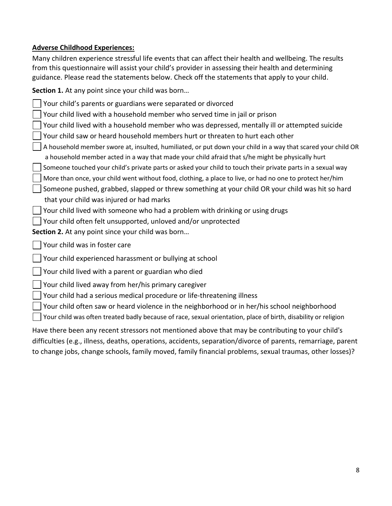## **Adverse Childhood Experiences:**

Many children experience stressful life events that can affect their health and wellbeing. The results from this questionnaire will assist your child's provider in assessing their health and determining guidance. Please read the statements below. Check off the statements that apply to your child.

**Section 1.** At any point since your child was born…

Your child's parents or guardians were separated or divorced

Your child lived with a household member who served time in jail or prison

Your child lived with a household member who was depressed, mentally ill or attempted suicide

Your child saw or heard household members hurt or threaten to hurt each other

A household member swore at, insulted, humiliated, or put down your child in a way that scared your child OR a household member acted in a way that made your child afraid that s/he might be physically hurt

Someone touched your child's private parts or asked your child to touch their private parts in a sexual way

More than once, your child went without food, clothing, a place to live, or had no one to protect her/him

 $\vert \ \vert$  Someone pushed, grabbed, slapped or threw something at your child OR your child was hit so hard that your child was injured or had marks

 $\vert$  Your child lived with someone who had a problem with drinking or using drugs

Your child often felt unsupported, unloved and/or unprotected

**Section 2.** At any point since your child was born…

Your child was in foster care

Your child experienced harassment or bullying at school

Your child lived with a parent or guardian who died

Your child lived away from her/his primary caregiver

Your child had a serious medical procedure or life-threatening illness

Your child often saw or heard violence in the neighborhood or in her/his school neighborhood

Your child was often treated badly because of race, sexual orientation, place of birth, disability or religion

Have there been any recent stressors not mentioned above that may be contributing to your child's difficulties (e.g., illness, deaths, operations, accidents, separation/divorce of parents, remarriage, parent to change jobs, change schools, family moved, family financial problems, sexual traumas, other losses)?